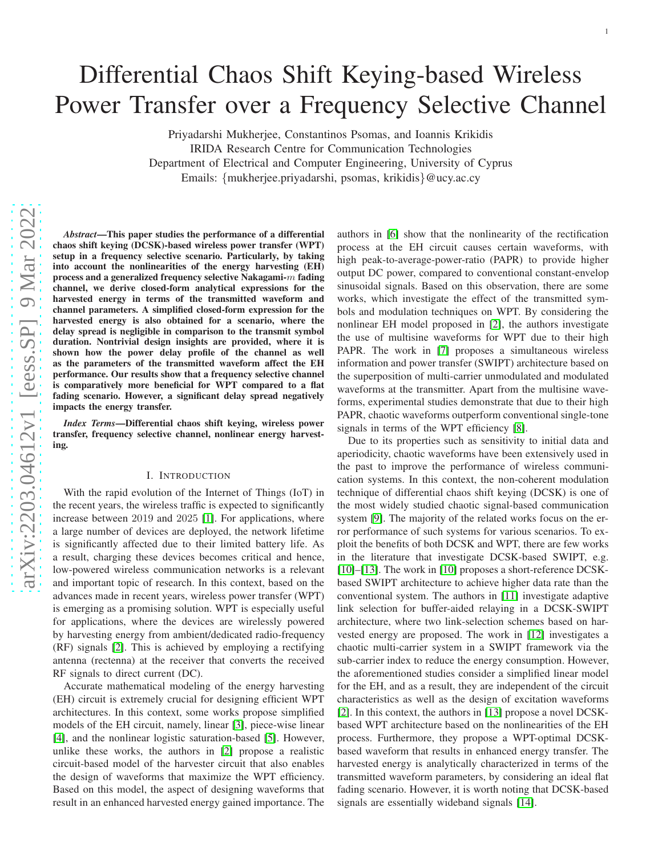# Differential Chaos Shift Keying-based Wireless Power Transfer over a Frequency Selective Channel

Priyadarshi Mukherjee, Constantinos Psomas, and Ioannis Krikidis IRIDA Research Centre for Communication Technologies Department of Electrical and Computer Engineering, University of Cyprus Emails: {mukherjee.priyadarshi, psomas, krikidis }@ucy.ac.cy

*Abstract*—This paper studies the performance of a differential chaos shift keying (DCSK)-based wireless power transfer (WPT) setup in a frequency selective scenario. Particularly, by taking into account the nonlinearities of the energy harvesting (EH) process and a generalized frequency selective Nakagami- $\overline{m}$  fading channel, we derive closed-form analytical expressions for the harvested energy in terms of the transmitted waveform and channel parameters. A simplified closed-form expression for the harvested energy is also obtained for a scenario, where the delay spread is negligible in comparison to the transmit symbol duration. Nontrivial design insights are provided, where it is shown how the power delay profile of the channel as well as the parameters of the transmitted waveform affect the EH performance. Our results show that a frequency selective channel is comparatively more beneficial for WPT compared to a flat fading scenario. However, a significant delay spread negatively impacts the energy transfer.

*Index Terms*—Differential chaos shift keying, wireless power transfer, frequency selective channel, nonlinear energy harvesting.

## I. INTRODUCTION

With the rapid evolution of the Internet of Things (IoT) in the recent years, the wireless traffic is expected to significantly increase between 2019 and 2025 [\[1\]](#page-5-0). For applications, where a large number of devices are deployed, the network lifetime is significantly affected due to their limited battery life. As a result, charging these devices becomes critical and hence , low-powered wireless communication networks is a relevant and important topic of research. In this context, based on th e advances made in recent years, wireless power transfer (WPT ) is emerging as a promising solution. WPT is especially usefu l for applications, where the devices are wirelessly powered by harvesting energy from ambient/dedicated radio-frequency (RF) signals [\[2\]](#page-5-1). This is achieved by employing a rectifying antenna (rectenna) at the receiver that converts the received RF signals to direct current (DC).

Accurate mathematical modeling of the energy harvesting (EH) circuit is extremely crucial for designing efficient WP T architectures. In this context, some works propose simplified models of the EH circuit, namely, linear [\[3\]](#page-5-2), piece-wise linear [\[4\]](#page-5-3), and the nonlinear logistic saturation-based [\[5\]](#page-5-4). However, unlike these works, the authors in [\[2\]](#page-5-1) propose a realistic circuit-based model of the harvester circuit that also enables the design of waveforms that maximize the WPT efficiency. Based on this model, the aspect of designing waveforms that result in an enhanced harvested energy gained importance. The

authors in [\[6\]](#page-5-5) show that the nonlinearity of the rectificatio n process at the EH circuit causes certain waveforms, with high peak-to-average-power-ratio (PAPR) to provide highe r output DC power, compared to conventional constant-envelo p sinusoidal signals. Based on this observation, there are some works, which investigate the effect of the transmitted symbols and modulation techniques on WPT. By considering the nonlinear EH model proposed in [\[2\]](#page-5-1), the authors investigate the use of multisine waveforms for WPT due to their high PAPR. The work in [\[7\]](#page-5-6) proposes a simultaneous wireless information and power transfer (SWIPT) architecture based on the superposition of multi-carrier unmodulated and modulated waveforms at the transmitter. Apart from the multisine waveforms, experimental studies demonstrate that due to their high PAPR, chaotic waveforms outperform conventional single-tone signals in terms of the WPT efficiency [\[8\]](#page-5-7).

1

Due to its properties such as sensitivity to initial data and aperiodicity, chaotic waveforms have been extensively used in the past to improve the performance of wireless communication systems. In this context, the non-coherent modulation technique of differential chaos shift keying (DCSK) is one o f the most widely studied chaotic signal-based communicatio n system [\[9\]](#page-5-8). The majority of the related works focus on the error performance of such systems for various scenarios. To exploit the benefits of both DCSK and WPT, there are few works in the literature that investigate DCSK-based SWIPT, e.g. [\[10\]](#page-5-9)-[\[13\]](#page-5-10). The work in [10] proposes a short-reference DCSKbased SWIPT architecture to achieve higher data rate than th e conventional system. The authors in [\[11\]](#page-5-11) investigate adaptive link selection for buffer-aided relaying in a DCSK-SWIPT architecture, where two link-selection schemes based on harvested energy are proposed. The work in [\[12\]](#page-5-12) investigates a chaotic multi-carrier system in a SWIPT framework via the sub-carrier index to reduce the energy consumption. However, the aforementioned studies consider a simplified linear model for the EH, and as a result, they are independent of the circui t characteristics as well as the design of excitation waveforms [\[2\]](#page-5-1). In this context, the authors in [\[13\]](#page-5-10) propose a novel DCSKbased WPT architecture based on the nonlinearities of the EH process. Furthermore, they propose a WPT-optimal DCSKbased waveform that results in enhanced energy transfer. The harvested energy is analytically characterized in terms of the transmitted waveform parameters, by considering an ideal flat fading scenario. However, it is worth noting that DCSK-base d signals are essentially wideband signals [\[14\]](#page-5-13).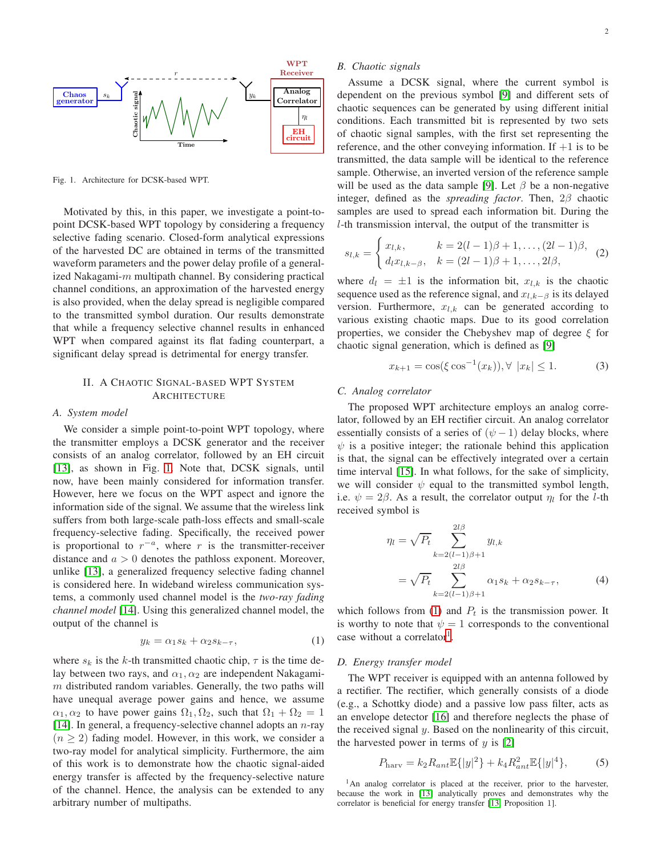

<span id="page-1-0"></span>Fig. 1. Architecture for DCSK-based WPT.

Motivated by this, in this paper, we investigate a point-topoint DCSK-based WPT topology by considering a frequency selective fading scenario. Closed-form analytical expressions of the harvested DC are obtained in terms of the transmitted waveform parameters and the power delay profile of a generalized Nakagami- $m$  multipath channel. By considering practical channel conditions, an approximation of the harvested energy is also provided, when the delay spread is negligible compared to the transmitted symbol duration. Our results demonstrate that while a frequency selective channel results in enhanced WPT when compared against its flat fading counterpart, a significant delay spread is detrimental for energy transfer.

## II. A CHAOTIC SIGNAL-BASED WPT SYSTEM **ARCHITECTURE**

#### *A. System model*

We consider a simple point-to-point WPT topology, where the transmitter employs a DCSK generator and the receiver consists of an analog correlator, followed by an EH circuit [\[13\]](#page-5-10), as shown in Fig. [1.](#page-1-0) Note that, DCSK signals, until now, have been mainly considered for information transfer. However, here we focus on the WPT aspect and ignore the information side of the signal. We assume that the wireless link suffers from both large-scale path-loss effects and small-scale frequency-selective fading. Specifically, the received power is proportional to  $r^{-a}$ , where r is the transmitter-receiver distance and  $a > 0$  denotes the pathloss exponent. Moreover, unlike [\[13\]](#page-5-10), a generalized frequency selective fading channel is considered here. In wideband wireless communication systems, a commonly used channel model is the *two-ray fading channel model* [\[14\]](#page-5-13). Using this generalized channel model, the output of the channel is

<span id="page-1-1"></span>
$$
y_k = \alpha_1 s_k + \alpha_2 s_{k-\tau},\tag{1}
$$

where  $s_k$  is the k-th transmitted chaotic chip,  $\tau$  is the time delay between two rays, and  $\alpha_1, \alpha_2$  are independent Nakagami $m$  distributed random variables. Generally, the two paths will have unequal average power gains and hence, we assume  $\alpha_1, \alpha_2$  to have power gains  $\Omega_1, \Omega_2$ , such that  $\Omega_1 + \Omega_2 = 1$ [\[14\]](#page-5-13). In general, a frequency-selective channel adopts an  $n$ -ray  $(n \geq 2)$  fading model. However, in this work, we consider a two-ray model for analytical simplicity. Furthermore, the aim of this work is to demonstrate how the chaotic signal-aided energy transfer is affected by the frequency-selective nature of the channel. Hence, the analysis can be extended to any arbitrary number of multipaths.

## *B. Chaotic signals*

Assume a DCSK signal, where the current symbol is dependent on the previous symbol [\[9\]](#page-5-8) and different sets of chaotic sequences can be generated by using different initial conditions. Each transmitted bit is represented by two sets of chaotic signal samples, with the first set representing the reference, and the other conveying information. If  $+1$  is to be transmitted, the data sample will be identical to the reference sample. Otherwise, an inverted version of the reference sample will be used as the data sample [\[9\]](#page-5-8). Let  $\beta$  be a non-negative integer, defined as the *spreading factor*. Then, 2β chaotic samples are used to spread each information bit. During the l-th transmission interval, the output of the transmitter is

$$
s_{l,k} = \begin{cases} x_{l,k}, & k = 2(l-1)\beta + 1, \dots, (2l-1)\beta, \\ d_l x_{l,k-\beta}, & k = (2l-1)\beta + 1, \dots, 2l\beta, \end{cases}
$$
 (2)

where  $d_l = \pm 1$  is the information bit,  $x_{l,k}$  is the chaotic sequence used as the reference signal, and  $x_{l,k-\beta}$  is its delayed version. Furthermore,  $x_{l,k}$  can be generated according to various existing chaotic maps. Due to its good correlation properties, we consider the Chebyshev map of degree  $\xi$  for chaotic signal generation, which is defined as [\[9\]](#page-5-8)

$$
x_{k+1} = \cos(\xi \cos^{-1}(x_k)), \forall |x_k| \le 1.
$$
 (3)

## *C. Analog correlator*

The proposed WPT architecture employs an analog correlator, followed by an EH rectifier circuit. An analog correlator essentially consists of a series of  $(\psi - 1)$  delay blocks, where  $\psi$  is a positive integer; the rationale behind this application is that, the signal can be effectively integrated over a certain time interval [\[15\]](#page-5-14). In what follows, for the sake of simplicity, we will consider  $\psi$  equal to the transmitted symbol length, i.e.  $\psi = 2\beta$ . As a result, the correlator output  $\eta_l$  for the *l*-th received symbol is

<span id="page-1-4"></span>
$$
\eta_l = \sqrt{P_t} \sum_{k=2(l-1)\beta+1}^{2l\beta} y_{l,k}
$$
  
=  $\sqrt{P_t} \sum_{k=2(l-1)\beta+1}^{2l\beta} \alpha_1 s_k + \alpha_2 s_{k-\tau},$  (4)

which follows from [\(1\)](#page-1-1) and  $P_t$  is the transmission power. It is worthy to note that  $\psi = 1$  corresponds to the conventional case without a correlator<sup>[1](#page-1-2)</sup>.

## *D. Energy transfer model*

The WPT receiver is equipped with an antenna followed by a rectifier. The rectifier, which generally consists of a diode (e.g., a Schottky diode) and a passive low pass filter, acts as an envelope detector [\[16\]](#page-5-15) and therefore neglects the phase of the received signal  $y$ . Based on the nonlinearity of this circuit, the harvested power in terms of  $y$  is  $[2]$ 

<span id="page-1-3"></span>
$$
P_{\text{hary}} = k_2 R_{ant} \mathbb{E}\{|y|^2\} + k_4 R_{ant}^2 \mathbb{E}\{|y|^4\},\tag{5}
$$

<span id="page-1-2"></span><sup>1</sup>An analog correlator is placed at the receiver, prior to the harvester, because the work in [\[13\]](#page-5-10) analytically proves and demonstrates why the correlator is beneficial for energy transfer [\[13,](#page-5-10) Proposition 1].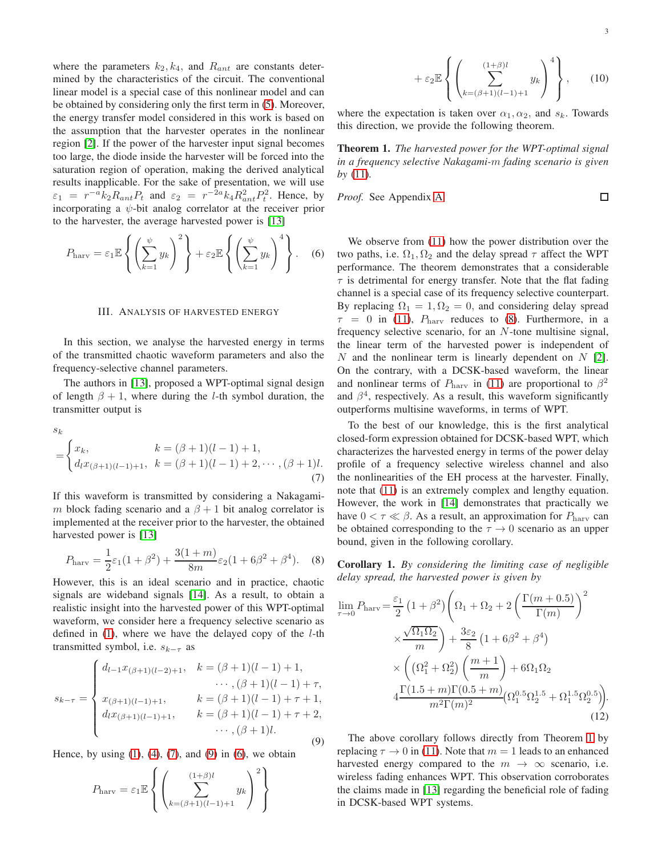where the parameters  $k_2, k_4$ , and  $R_{ant}$  are constants determined by the characteristics of the circuit. The conventional linear model is a special case of this nonlinear model and can be obtained by considering only the first term in [\(5\)](#page-1-3). Moreover, the energy transfer model considered in this work is based on the assumption that the harvester operates in the nonlinear region [\[2\]](#page-5-1). If the power of the harvester input signal becomes too large, the diode inside the harvester will be forced into the saturation region of operation, making the derived analytical results inapplicable. For the sake of presentation, we will use  $\varepsilon_1 = r^{-a} k_2 R_{ant} P_t$  and  $\varepsilon_2 = r^{-2a} k_4 R_{ant}^2 P_t^2$ . Hence, by incorporating a  $\psi$ -bit analog correlator at the receiver prior to the harvester, the average harvested power is [\[13\]](#page-5-10)

$$
P_{\text{harv}} = \varepsilon_1 \mathbb{E} \left\{ \left( \sum_{k=1}^{\psi} y_k \right)^2 \right\} + \varepsilon_2 \mathbb{E} \left\{ \left( \sum_{k=1}^{\psi} y_k \right)^4 \right\}. \quad (6)
$$

#### III. ANALYSIS OF HARVESTED ENERGY

In this section, we analyse the harvested energy in terms of the transmitted chaotic waveform parameters and also the frequency-selective channel parameters.

The authors in [\[13\]](#page-5-10), proposed a WPT-optimal signal design of length  $\beta + 1$ , where during the *l*-th symbol duration, the transmitter output is

$$
s_k
$$
  
= 
$$
\begin{cases} x_k, & k = (\beta + 1)(l - 1) + 1, \\ d_l x_{(\beta + 1)(l - 1) + 1}, & k = (\beta + 1)(l - 1) + 2, \dots, (\beta + 1)l. \end{cases}
$$
  
(7)

If this waveform is transmitted by considering a Nakagamim block fading scenario and a  $\beta + 1$  bit analog correlator is implemented at the receiver prior to the harvester, the obtained harvested power is [\[13\]](#page-5-10)

<span id="page-2-3"></span>
$$
P_{\text{hary}} = \frac{1}{2}\varepsilon_1(1+\beta^2) + \frac{3(1+m)}{8m}\varepsilon_2(1+6\beta^2+\beta^4). \quad (8)
$$

However, this is an ideal scenario and in practice, chaotic signals are wideband signals [\[14\]](#page-5-13). As a result, to obtain a realistic insight into the harvested power of this WPT-optimal waveform, we consider here a frequency selective scenario as defined in  $(1)$ , where we have the delayed copy of the *l*-th transmitted symbol, i.e.  $s_{k-\tau}$  as

<span id="page-2-1"></span>
$$
s_{k-\tau} = \begin{cases} d_{l-1}x_{(\beta+1)(l-2)+1}, & k = (\beta+1)(l-1)+1, \\ & \cdots, (\beta+1)(l-1)+\tau, \\ x_{(\beta+1)(l-1)+1}, & k = (\beta+1)(l-1)+\tau+1, \\ d_{l}x_{(\beta+1)(l-1)+1}, & k = (\beta+1)(l-1)+\tau+2, \\ & \cdots, (\beta+1)l. \end{cases}
$$
(9)

Hence, by using  $(1)$ ,  $(4)$ ,  $(7)$ , and  $(9)$  in  $(6)$ , we obtain

$$
P_{\text{harv}} = \varepsilon_1 \mathbb{E} \left\{ \left( \sum_{k=(\beta+1)(l-1)+1}^{(1+\beta)l} y_k \right)^2 \right\}
$$

$$
+\varepsilon_2 \mathbb{E}\left\{ \left( \sum_{k=(\beta+1)(l-1)+1}^{(1+\beta)l} y_k \right)^4 \right\},\qquad(10)
$$

where the expectation is taken over  $\alpha_1, \alpha_2$ , and  $s_k$ . Towards this direction, we provide the following theorem.

<span id="page-2-4"></span>Theorem 1. *The harvested power for the WPT-optimal signal in a frequency selective Nakagami-*m *fading scenario is given by* [\(11\)](#page-3-0)*.*

*Proof.* See Appendix [A.](#page-4-0)

 $\Box$ 

<span id="page-2-2"></span>We observe from [\(11\)](#page-3-0) how the power distribution over the two paths, i.e.  $\Omega_1, \Omega_2$  and the delay spread  $\tau$  affect the WPT performance. The theorem demonstrates that a considerable  $\tau$  is detrimental for energy transfer. Note that the flat fading channel is a special case of its frequency selective counterpart. By replacing  $\Omega_1 = 1, \Omega_2 = 0$ , and considering delay spread  $\tau = 0$  in [\(11\)](#page-3-0),  $P_{\text{hary}}$  reduces to [\(8\)](#page-2-3). Furthermore, in a frequency selective scenario, for an N-tone multisine signal, the linear term of the harvested power is independent of N and the nonlinear term is linearly dependent on  $N$  [\[2\]](#page-5-1). On the contrary, with a DCSK-based waveform, the linear and nonlinear terms of  $P_{\text{hary}}$  in [\(11\)](#page-3-0) are proportional to  $\beta^2$ and  $\beta^4$ , respectively. As a result, this waveform significantly outperforms multisine waveforms, in terms of WPT.

<span id="page-2-0"></span>To the best of our knowledge, this is the first analytical closed-form expression obtained for DCSK-based WPT, which characterizes the harvested energy in terms of the power delay profile of a frequency selective wireless channel and also the nonlinearities of the EH process at the harvester. Finally, note that [\(11\)](#page-3-0) is an extremely complex and lengthy equation. However, the work in [\[14\]](#page-5-13) demonstrates that practically we have  $0 < \tau \ll \beta$ . As a result, an approximation for  $P_{\text{hary}}$  can be obtained corresponding to the  $\tau \to 0$  scenario as an upper bound, given in the following corollary.

Corollary 1. *By considering the limiting case of negligible delay spread, the harvested power is given by*

$$
\lim_{\tau \to 0} P_{\text{hary}} = \frac{\varepsilon_1}{2} \left( 1 + \beta^2 \right) \left( \Omega_1 + \Omega_2 + 2 \left( \frac{\Gamma(m + 0.5)}{\Gamma(m)} \right)^2 \times \frac{\sqrt{\Omega_1 \Omega_2}}{m} \right) + \frac{3\varepsilon_2}{8} \left( 1 + 6\beta^2 + \beta^4 \right) \times \left( \left( \Omega_1^2 + \Omega_2^2 \right) \left( \frac{m + 1}{m} \right) + 6\Omega_1 \Omega_2 \n4 \frac{\Gamma(1.5 + m)\Gamma(0.5 + m)}{m^2 \Gamma(m)^2} \left( \Omega_1^{0.5} \Omega_2^{1.5} + \Omega_1^{1.5} \Omega_2^{0.5} \right) \right).
$$
\n(12)

The above corollary follows directly from Theorem [1](#page-2-4) by replacing  $\tau \to 0$  in [\(11\)](#page-3-0). Note that  $m = 1$  leads to an enhanced harvested energy compared to the  $m \to \infty$  scenario, i.e. wireless fading enhances WPT. This observation corroborates the claims made in [\[13\]](#page-5-10) regarding the beneficial role of fading in DCSK-based WPT systems.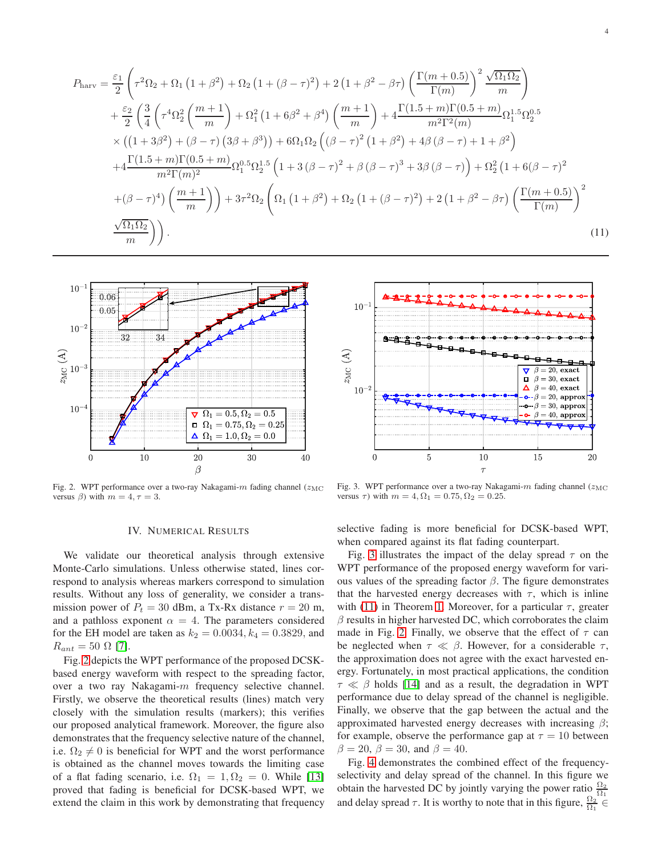$$
P_{\text{harv}} = \frac{\varepsilon_1}{2} \left( \tau^2 \Omega_2 + \Omega_1 \left( 1 + \beta^2 \right) + \Omega_2 \left( 1 + (\beta - \tau)^2 \right) + 2 \left( 1 + \beta^2 - \beta \tau \right) \left( \frac{\Gamma(m + 0.5)}{\Gamma(m)} \right)^2 \frac{\sqrt{\Omega_1 \Omega_2}}{m} \right) + \frac{\varepsilon_2}{2} \left( \frac{3}{4} \left( \tau^4 \Omega_2^2 \left( \frac{m + 1}{m} \right) + \Omega_1^2 \left( 1 + 6\beta^2 + \beta^4 \right) \left( \frac{m + 1}{m} \right) + 4 \frac{\Gamma(1.5 + m)\Gamma(0.5 + m)}{m^2 \Gamma^2(m)} \Omega_1^{1.5} \Omega_2^{0.5} \right) \times \left( \left( 1 + 3\beta^2 \right) + (\beta - \tau) \left( 3\beta + \beta^3 \right) \right) + 6\Omega_1 \Omega_2 \left( (\beta - \tau)^2 \left( 1 + \beta^2 \right) + 4\beta \left( \beta - \tau \right) + 1 + \beta^2 \right) + 4 \frac{\Gamma(1.5 + m)\Gamma(0.5 + m)}{m^2 \Gamma(m)^2} \Omega_1^{0.5} \Omega_2^{1.5} \left( 1 + 3 \left( \beta - \tau \right)^2 + \beta \left( \beta - \tau \right)^3 + 3\beta \left( \beta - \tau \right) \right) + \Omega_2^2 \left( 1 + 6(\beta - \tau)^2 \right) + (\beta - \tau)^4 \left( \frac{m + 1}{m} \right) \right) + 3\tau^2 \Omega_2 \left( \Omega_1 \left( 1 + \beta^2 \right) + \Omega_2 \left( 1 + (\beta - \tau)^2 \right) + 2 \left( 1 + \beta^2 - \beta \tau \right) \left( \frac{\Gamma(m + 0.5)}{\Gamma(m)} \right)^2 \n\frac{\sqrt{\Omega_1 \Omega_2}}{m} \right).
$$
\n(11)



<span id="page-3-1"></span>Fig. 2. WPT performance over a two-ray Nakagami- $m$  fading channel ( $z_{\text{MC}}$ ) versus  $\beta$ ) with  $m = 4, \tau = 3$ .

## <span id="page-3-0"></span> $10$  $z_{\rm MC}$  (A)  $\beta = 20$ , exact  $\mathbf{a}$  $\beta = 30$ , exact Δ  $\beta = 40$ , exact  $10<sup>°</sup>$  $\beta = 20$ , approx  $\cdot \cdot \cdot \cdot \cdot \cdot \cdot 30$ , approx  $\bullet \ \beta = 40$ , approx  $\overline{0}$  $\overline{5}$ 10 15 20  $\tau$

<span id="page-3-2"></span>Fig. 3. WPT performance over a two-ray Nakagami- $m$  fading channel ( $z_{\rm MC}$ versus  $\tau$ ) with  $m = 4, \Omega_1 = 0.75, \Omega_2 = 0.25$ .

## IV. NUMERICAL RESULTS

We validate our theoretical analysis through extensive Monte-Carlo simulations. Unless otherwise stated, lines correspond to analysis whereas markers correspond to simulation results. Without any loss of generality, we consider a transmission power of  $P_t = 30$  dBm, a Tx-Rx distance  $r = 20$  m, and a pathloss exponent  $\alpha = 4$ . The parameters considered for the EH model are taken as  $k_2 = 0.0034, k_4 = 0.3829$ , and  $R_{ant} = 50 \Omega$  [\[7\]](#page-5-6).

Fig. [2](#page-3-1) depicts the WPT performance of the proposed DCSKbased energy waveform with respect to the spreading factor, over a two ray Nakagami-m frequency selective channel. Firstly, we observe the theoretical results (lines) match very closely with the simulation results (markers); this verifies our proposed analytical framework. Moreover, the figure also demonstrates that the frequency selective nature of the channel, i.e.  $\Omega_2 \neq 0$  is beneficial for WPT and the worst performance is obtained as the channel moves towards the limiting case of a flat fading scenario, i.e.  $\Omega_1 = 1, \Omega_2 = 0$ . While [\[13\]](#page-5-10) proved that fading is beneficial for DCSK-based WPT, we extend the claim in this work by demonstrating that frequency selective fading is more beneficial for DCSK-based WPT, when compared against its flat fading counterpart.

Fig. [3](#page-3-2) illustrates the impact of the delay spread  $\tau$  on the WPT performance of the proposed energy waveform for various values of the spreading factor  $\beta$ . The figure demonstrates that the harvested energy decreases with  $\tau$ , which is inline with [\(11\)](#page-3-0) in Theorem [1.](#page-2-4) Moreover, for a particular  $\tau$ , greater  $\beta$  results in higher harvested DC, which corroborates the claim made in Fig. [2.](#page-3-1) Finally, we observe that the effect of  $\tau$  can be neglected when  $\tau \ll \beta$ . However, for a considerable  $\tau$ , the approximation does not agree with the exact harvested energy. Fortunately, in most practical applications, the condition  $\tau \ll \beta$  holds [\[14\]](#page-5-13) and as a result, the degradation in WPT performance due to delay spread of the channel is negligible. Finally, we observe that the gap between the actual and the approximated harvested energy decreases with increasing  $\beta$ ; for example, observe the performance gap at  $\tau = 10$  between  $\beta = 20$ ,  $\beta = 30$ , and  $\beta = 40$ .

Fig. [4](#page-4-1) demonstrates the combined effect of the frequencyselectivity and delay spread of the channel. In this figure we obtain the harvested DC by jointly varying the power ratio  $\frac{\Omega_2}{\Omega_1}$ and delay spread  $\tau$ . It is worthy to note that in this figure,  $\frac{\Omega_2}{\Omega_1} \in$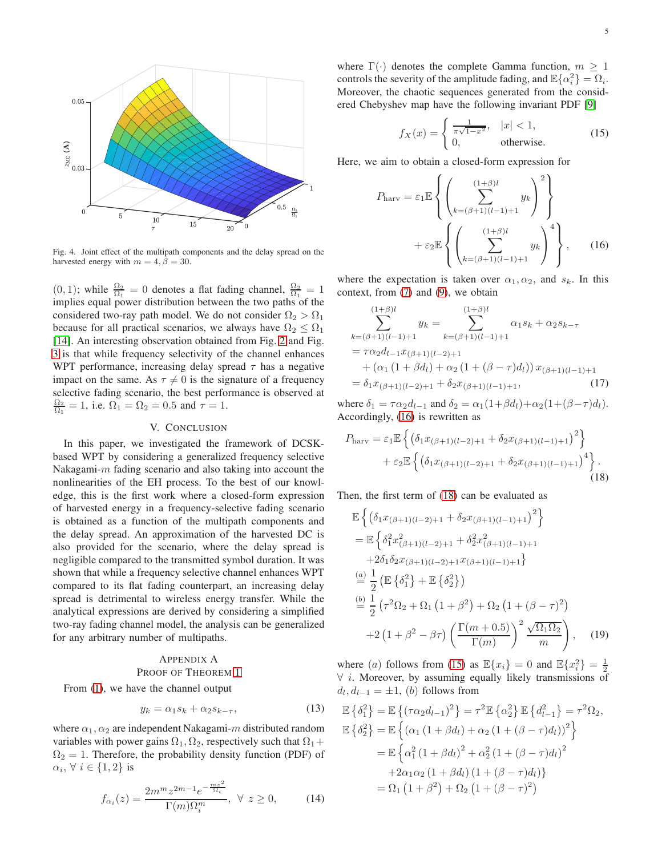

<span id="page-4-1"></span>Fig. 4. Joint effect of the multipath components and the delay spread on the harvested energy with  $m = 4, \beta = 30$ .

 $(0, 1)$ ; while  $\frac{\Omega_2}{\Omega_1} = 0$  denotes a flat fading channel,  $\frac{\Omega_2}{\Omega_1} = 1$ implies equal power distribution between the two paths of the considered two-ray path model. We do not consider  $\Omega_2 > \Omega_1$ because for all practical scenarios, we always have  $\Omega_2 \leq \Omega_1$ [\[14\]](#page-5-13). An interesting observation obtained from Fig. [2](#page-3-1) and Fig. [3](#page-3-2) is that while frequency selectivity of the channel enhances WPT performance, increasing delay spread  $\tau$  has a negative impact on the same. As  $\tau \neq 0$  is the signature of a frequency selective fading scenario, the best performance is observed at  $\frac{\Omega_2}{\Omega_1} = 1$ , i.e.  $\Omega_1 = \Omega_2 = 0.5$  and  $\tau = 1$ .

## V. CONCLUSION

In this paper, we investigated the framework of DCSKbased WPT by considering a generalized frequency selective Nakagami- $m$  fading scenario and also taking into account the nonlinearities of the EH process. To the best of our knowledge, this is the first work where a closed-form expression of harvested energy in a frequency-selective fading scenario is obtained as a function of the multipath components and the delay spread. An approximation of the harvested DC is also provided for the scenario, where the delay spread is negligible compared to the transmitted symbol duration. It was shown that while a frequency selective channel enhances WPT compared to its flat fading counterpart, an increasing delay spread is detrimental to wireless energy transfer. While the analytical expressions are derived by considering a simplified two-ray fading channel model, the analysis can be generalized for any arbitrary number of multipaths.

## <span id="page-4-0"></span>APPENDIX A PROOF OF THEOREM [1](#page-2-4)

From [\(1\)](#page-1-1), we have the channel output

$$
y_k = \alpha_1 s_k + \alpha_2 s_{k-\tau},\tag{13}
$$

where  $\alpha_1, \alpha_2$  are independent Nakagami-m distributed random variables with power gains  $\Omega_1, \Omega_2$ , respectively such that  $\Omega_1 +$  $\Omega_2 = 1$ . Therefore, the probability density function (PDF) of  $\alpha_i, \forall i \in \{1, 2\}$  is

$$
f_{\alpha_i}(z) = \frac{2m^m z^{2m-1} e^{-\frac{m z^2}{\Omega_i}}}{\Gamma(m)\Omega_i^m}, \ \forall \ z \ge 0,
$$
 (14)

<span id="page-4-4"></span><span id="page-4-2"></span>5

where  $\Gamma(\cdot)$  denotes the complete Gamma function,  $m \geq 1$ controls the severity of the amplitude fading, and  $\mathbb{E}\{\alpha_i^2\} = \Omega_i$ . Moreover, the chaotic sequences generated from the considered Chebyshev map have the following invariant PDF [\[9\]](#page-5-8)

$$
f_X(x) = \begin{cases} \frac{1}{\pi\sqrt{1-x^2}}, & |x| < 1, \\ 0, & \text{otherwise.} \end{cases} \tag{15}
$$

Here, we aim to obtain a closed-form expression for

$$
P_{\text{hary}} = \varepsilon_1 \mathbb{E} \left\{ \left( \sum_{k=(\beta+1)(l-1)+1}^{(1+\beta)l} y_k \right)^2 \right\}
$$

$$
+ \varepsilon_2 \mathbb{E} \left\{ \left( \sum_{k=(\beta+1)(l-1)+1}^{(1+\beta)l} y_k \right)^4 \right\}, \qquad (16)
$$

where the expectation is taken over  $\alpha_1, \alpha_2$ , and  $s_k$ . In this context, from [\(7\)](#page-2-0) and [\(9\)](#page-2-1), we obtain

$$
\sum_{k=(\beta+1)(l-1)+1}^{(1+\beta)l} y_k = \sum_{k=(\beta+1)(l-1)+1}^{(1+\beta)l} \alpha_1 s_k + \alpha_2 s_{k-\tau}
$$
  
=  $\tau \alpha_2 d_{l-1} x_{(\beta+1)(l-2)+1}$   
+  $(\alpha_1 (1+\beta d_l) + \alpha_2 (1+(\beta-\tau)d_l)) x_{(\beta+1)(l-1)+1}$   
=  $\delta_1 x_{(\beta+1)(l-2)+1} + \delta_2 x_{(\beta+1)(l-1)+1}$ , (17)

where  $\delta_1 = \tau \alpha_2 d_{l-1}$  and  $\delta_2 = \alpha_1(1+\beta d_l) + \alpha_2(1+(\beta-\tau)d_l)$ . Accordingly, [\(16\)](#page-4-2) is rewritten as

$$
P_{\text{harv}} = \varepsilon_1 \mathbb{E} \left\{ \left( \delta_1 x_{(\beta+1)(l-2)+1} + \delta_2 x_{(\beta+1)(l-1)+1} \right)^2 \right\} + \varepsilon_2 \mathbb{E} \left\{ \left( \delta_1 x_{(\beta+1)(l-2)+1} + \delta_2 x_{(\beta+1)(l-1)+1} \right)^4 \right\}.
$$
\n(18)

Then, the first term of [\(18\)](#page-4-3) can be evaluated as

<span id="page-4-3"></span>
$$
\mathbb{E}\left\{ \left( \delta_1 x_{(\beta+1)(l-2)+1} + \delta_2 x_{(\beta+1)(l-1)+1} \right)^2 \right\}
$$
\n
$$
= \mathbb{E}\left\{ \delta_1^2 x_{(\beta+1)(l-2)+1}^2 + \delta_2^2 x_{(\beta+1)(l-1)+1}^2 + 2\delta_1 \delta_2 x_{(\beta+1)(l-2)+1} x_{(\beta+1)(l-1)+1} \right\}
$$
\n
$$
\stackrel{(a)}{=} \frac{1}{2} \left( \mathbb{E}\left\{ \delta_1^2 \right\} + \mathbb{E}\left\{ \delta_2^2 \right\} \right)
$$
\n
$$
\stackrel{(b)}{=} \frac{1}{2} \left( \tau^2 \Omega_2 + \Omega_1 \left( 1 + \beta^2 \right) + \Omega_2 \left( 1 + (\beta - \tau)^2 \right) \right)
$$
\n
$$
+ 2 \left( 1 + \beta^2 - \beta \tau \right) \left( \frac{\Gamma(m+0.5)}{\Gamma(m)} \right)^2 \frac{\sqrt{\Omega_1 \Omega_2}}{m} \right), \quad (19)
$$

<span id="page-4-5"></span>where (a) follows from [\(15\)](#page-4-4) as  $\mathbb{E}\lbrace x_i \rbrace = 0$  and  $\mathbb{E}\lbrace x_i^2 \rbrace = \frac{1}{2}$  $\forall$  *i*. Moreover, by assuming equally likely transmissions of  $d_l, d_{l-1} = \pm 1$ , (*b*) follows from

$$
\mathbb{E}\left\{\delta_{1}^{2}\right\} = \mathbb{E}\left\{(\tau\alpha_{2}d_{l-1})^{2}\right\} = \tau^{2}\mathbb{E}\left\{\alpha_{2}^{2}\right\}\mathbb{E}\left\{d_{l-1}^{2}\right\} = \tau^{2}\Omega_{2},
$$
\n
$$
\mathbb{E}\left\{\delta_{2}^{2}\right\} = \mathbb{E}\left\{(\alpha_{1}(1+\beta d_{l}) + \alpha_{2}(1+(\beta-\tau)d_{l}))^{2}\right\}
$$
\n
$$
= \mathbb{E}\left\{\alpha_{1}^{2}(1+\beta d_{l})^{2} + \alpha_{2}^{2}(1+(\beta-\tau)d_{l})^{2} + 2\alpha_{1}\alpha_{2}(1+\beta d_{l})(1+(\beta-\tau)d_{l})^{2}\right\}
$$
\n
$$
= \Omega_{1}(1+\beta^{2}) + \Omega_{2}(1+(\beta-\tau)^{2})
$$